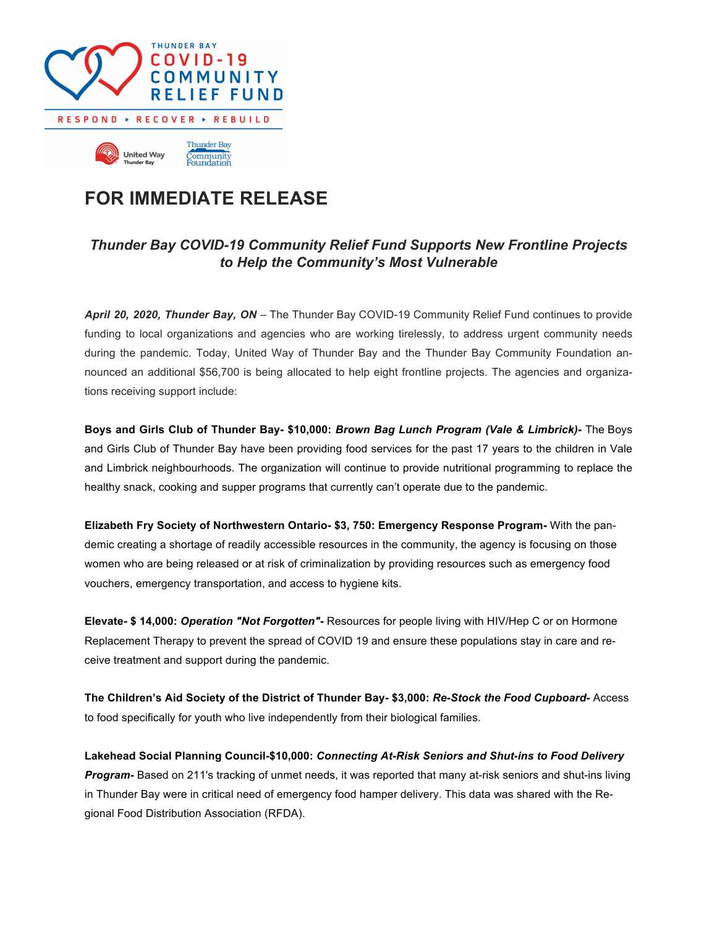

## **FOR IMMEDIATE RELEASE**

## *Thunder Bay COVID-19 Community Relief Fund Supports New Frontline Projects to Help the Community's Most Vulnerable*

*April 20, 2020, Thunder Bay, ON* – The Thunder Bay COVID-19 Community Relief Fund continues to provide funding to local organizations and agencies who are working tirelessly, to address urgent community needs during the pandemic. Today, United Way of Thunder Bay and the Thunder Bay Community Foundation announced an additional \$56,700 is being allocated to help eight frontline projects. The agencies and organizations receiving support include:

**Boys and Girls Club of Thunder Bay- \$10,000:** *Brown Bag Lunch Program (Vale & Limbrick)-* The Boys and Girls Club of Thunder Bay have been providing food services for the past 17 years to the children in Vale and Limbrick neighbourhoods. The organization will continue to provide nutritional programming to replace the healthy snack, cooking and supper programs that currently can't operate due to the pandemic.

**Elizabeth Fry Society of Northwestern Ontario- \$3, 750: Emergency Response Program-** With the pandemic creating a shortage of readily accessible resources in the community, the agency is focusing on those women who are being released or at risk of criminalization by providing resources such as emergency food vouchers, emergency transportation, and access to hygiene kits.

**Elevate- \$ 14,000:** *Operation "Not Forgotten"-* Resources for people living with HIV/Hep C or on Hormone Replacement Therapy to prevent the spread of COVID 19 and ensure these populations stay in care and receive treatment and support during the pandemic.

**The Children's Aid Society of the District of Thunder Bay- \$3,000:** *Re-Stock the Food Cupboard-* Access to food specifically for youth who live independently from their biological families.

**Lakehead Social Planning Council-\$10,000:** *Connecting At-Risk Seniors and Shut-ins to Food Delivery Program-* Based on 211's tracking of unmet needs, it was reported that many at-risk seniors and shut-ins living in Thunder Bay were in critical need of emergency food hamper delivery. This data was shared with the Regional Food Distribution Association (RFDA).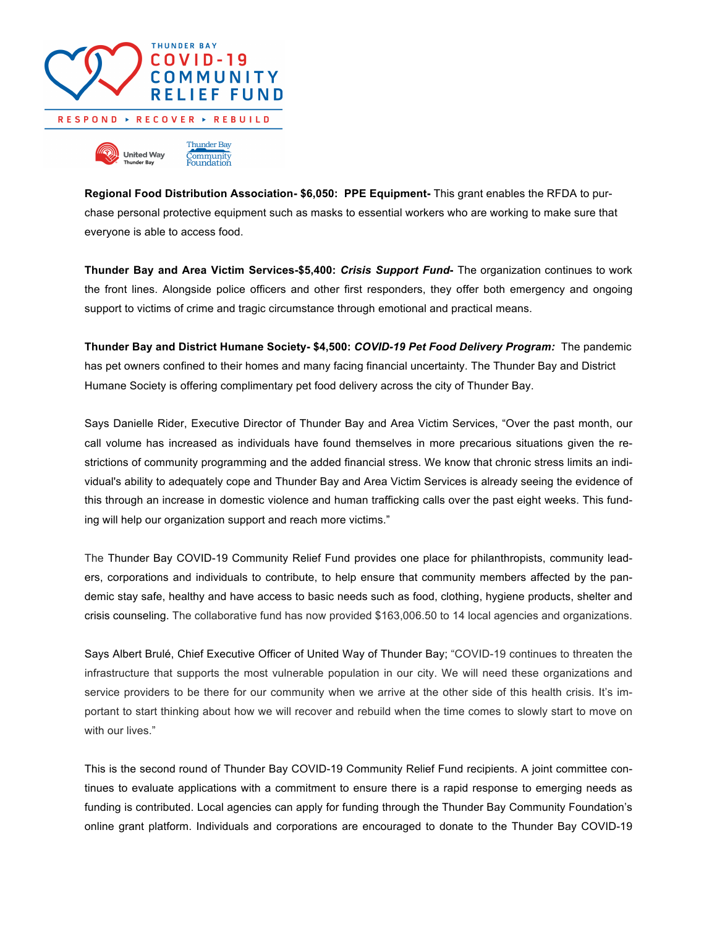

**Regional Food Distribution Association- \$6,050: PPE Equipment-** This grant enables the RFDA to purchase personal protective equipment such as masks to essential workers who are working to make sure that everyone is able to access food.

**Thunder Bay and Area Victim Services-\$5,400:** *Crisis Support Fund***-** The organization continues to work the front lines. Alongside police officers and other first responders, they offer both emergency and ongoing support to victims of crime and tragic circumstance through emotional and practical means.

**Thunder Bay and District Humane Society- \$4,500:** *COVID-19 Pet Food Delivery Program:* The pandemic has pet owners confined to their homes and many facing financial uncertainty. The Thunder Bay and District Humane Society is offering complimentary pet food delivery across the city of Thunder Bay.

Says Danielle Rider, Executive Director of Thunder Bay and Area Victim Services, "Over the past month, our call volume has increased as individuals have found themselves in more precarious situations given the restrictions of community programming and the added financial stress. We know that chronic stress limits an individual's ability to adequately cope and Thunder Bay and Area Victim Services is already seeing the evidence of this through an increase in domestic violence and human trafficking calls over the past eight weeks. This funding will help our organization support and reach more victims."

The Thunder Bay COVID-19 Community Relief Fund provides one place for philanthropists, community leaders, corporations and individuals to contribute, to help ensure that community members affected by the pandemic stay safe, healthy and have access to basic needs such as food, clothing, hygiene products, shelter and crisis counseling. The collaborative fund has now provided \$163,006.50 to 14 local agencies and organizations.

Says Albert Brulé, Chief Executive Officer of United Way of Thunder Bay; "COVID-19 continues to threaten the infrastructure that supports the most vulnerable population in our city. We will need these organizations and service providers to be there for our community when we arrive at the other side of this health crisis. It's important to start thinking about how we will recover and rebuild when the time comes to slowly start to move on with our lives."

This is the second round of Thunder Bay COVID-19 Community Relief Fund recipients. A joint committee continues to evaluate applications with a commitment to ensure there is a rapid response to emerging needs as funding is contributed. Local agencies can apply for funding through the Thunder Bay Community Foundation's online grant platform. Individuals and corporations are encouraged to donate to the Thunder Bay COVID-19